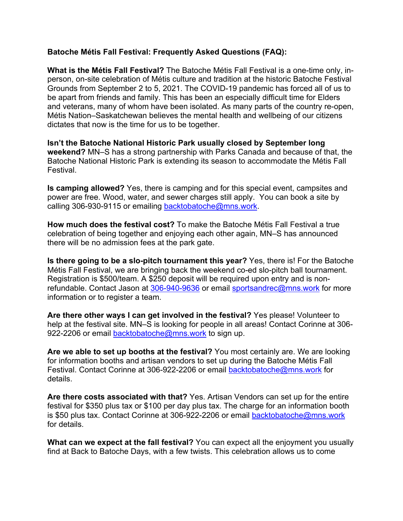## **Batoche Métis Fall Festival: Frequently Asked Questions (FAQ):**

**What is the Métis Fall Festival?** The Batoche Métis Fall Festival is a one-time only, inperson, on-site celebration of Métis culture and tradition at the historic Batoche Festival Grounds from September 2 to 5, 2021. The COVID-19 pandemic has forced all of us to be apart from friends and family. This has been an especially difficult time for Elders and veterans, many of whom have been isolated. As many parts of the country re-open, Métis Nation–Saskatchewan believes the mental health and wellbeing of our citizens dictates that now is the time for us to be together.

**Isn't the Batoche National Historic Park usually closed by September long weekend?** MN–S has a strong partnership with Parks Canada and because of that, the Batoche National Historic Park is extending its season to accommodate the Métis Fall Festival.

**Is camping allowed?** Yes, there is camping and for this special event, campsites and power are free. Wood, water, and sewer charges still apply. You can book a site by calling 306-930-9115 or emailing backtobatoche@mns.work.

**How much does the festival cost?** To make the Batoche Métis Fall Festival a true celebration of being together and enjoying each other again, MN–S has announced there will be no admission fees at the park gate.

**Is there going to be a slo-pitch tournament this year?** Yes, there is! For the Batoche Métis Fall Festival, we are bringing back the weekend co-ed slo-pitch ball tournament. Registration is \$500/team. A \$250 deposit will be required upon entry and is nonrefundable. Contact Jason at 306-940-9636 or email sportsandrec@mns.work for more information or to register a team.

**Are there other ways I can get involved in the festival?** Yes please! Volunteer to help at the festival site. MN–S is looking for people in all areas! Contact Corinne at 306-922-2206 or email backtobatoche@mns.work to sign up.

**Are we able to set up booths at the festival?** You most certainly are. We are looking for information booths and artisan vendors to set up during the Batoche Métis Fall Festival. Contact Corinne at 306-922-2206 or email backtobatoche@mns.work for details.

**Are there costs associated with that?** Yes. Artisan Vendors can set up for the entire festival for \$350 plus tax or \$100 per day plus tax. The charge for an information booth is \$50 plus tax. Contact Corinne at 306-922-2206 or email backtobatoche@mns.work for details.

**What can we expect at the fall festival?** You can expect all the enjoyment you usually find at Back to Batoche Days, with a few twists. This celebration allows us to come